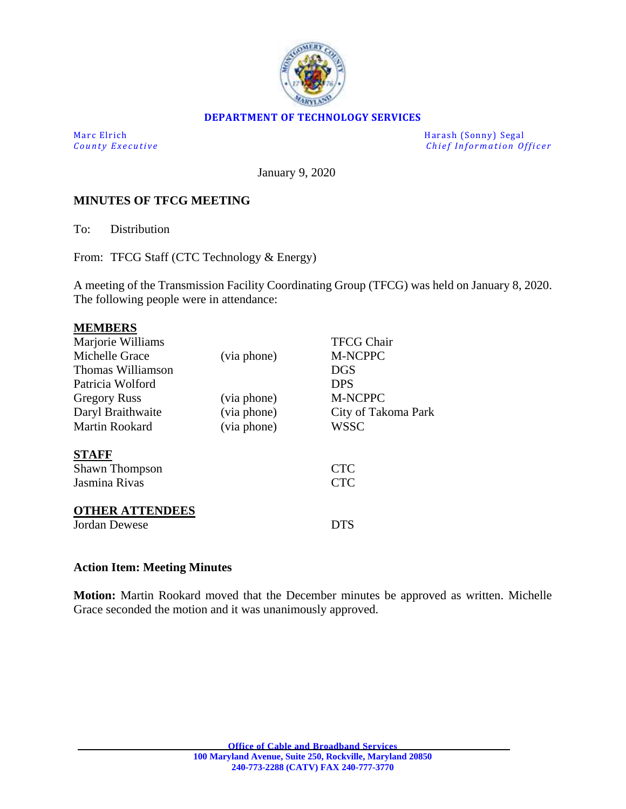

#### **DEPARTMENT OF TECHNOLOGY SERVICES**

Marc Elrich Harash (Sonny) Segal *County Executive* **Executive** *County Executive Chief Information Officer* 

January 9, 2020

### **MINUTES OF TFCG MEETING**

To: Distribution

From: TFCG Staff (CTC Technology & Energy)

A meeting of the Transmission Facility Coordinating Group (TFCG) was held on January 8, 2020. The following people were in attendance:

| <b>MEMBERS</b>                                                                                    |             |                                 |
|---------------------------------------------------------------------------------------------------|-------------|---------------------------------|
| Marjorie Williams                                                                                 |             | <b>TFCG Chair</b>               |
| Michelle Grace                                                                                    | (via phone) | <b>M-NCPPC</b>                  |
| Thomas Williamson                                                                                 |             | <b>DGS</b>                      |
| Patricia Wolford                                                                                  |             | <b>DPS</b>                      |
| <b>Gregory Russ</b>                                                                               | (via phone) | <b>M-NCPPC</b>                  |
| Daryl Braithwaite                                                                                 | (via phone) | City of Takoma Park             |
| Martin Rookard                                                                                    | (via phone) | WSSC                            |
| <b>STAFF</b><br><b>Shawn Thompson</b><br>Jasmina Rivas<br><b>OTHER ATTENDEES</b><br>Jordan Dewese |             | <b>CTC</b><br><b>CTC</b><br>DTS |
|                                                                                                   |             |                                 |
|                                                                                                   |             |                                 |

## **Action Item: Meeting Minutes**

**Motion:** Martin Rookard moved that the December minutes be approved as written. Michelle Grace seconded the motion and it was unanimously approved.